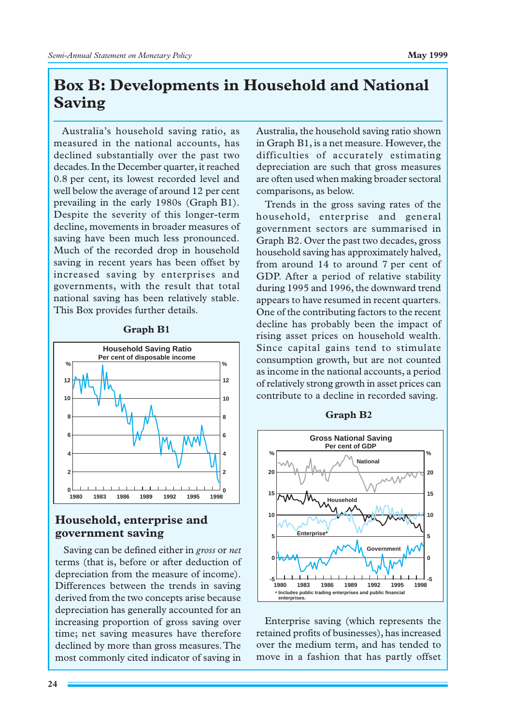# **Box␣ B: Developments in Household and National Saving**

Australia's household saving ratio, as measured in the national accounts, has declined substantially over the past two decades. In the December quarter, it reached 0.8␣ per cent, its lowest recorded level and well below the average of around 12 per cent prevailing in the early 1980s (Graph B1). Despite the severity of this longer-term decline, movements in broader measures of saving have been much less pronounced. Much of the recorded drop in household saving in recent years has been offset by increased saving by enterprises and governments, with the result that total national saving has been relatively stable. This Box provides further details.



#### **Graph B1**

# **Household, enterprise and government saving**

Saving can be defined either in *gross* or *net* terms (that is, before or after deduction of depreciation from the measure of income). Differences between the trends in saving derived from the two concepts arise because depreciation has generally accounted for an increasing proportion of gross saving over time; net saving measures have therefore declined by more than gross measures. The most commonly cited indicator of saving in

Australia, the household saving ratio shown in Graph B1, is a net measure. However, the difficulties of accurately estimating depreciation are such that gross measures are often used when making broader sectoral comparisons, as below.

Trends in the gross saving rates of the household, enterprise and general government sectors are summarised in Graph B2. Over the past two decades, gross household saving has approximately halved, from around 14 to around 7 per cent of GDP. After a period of relative stability during 1995 and 1996, the downward trend appears to have resumed in recent quarters. One of the contributing factors to the recent decline has probably been the impact of rising asset prices on household wealth. Since capital gains tend to stimulate consumption growth, but are not counted as income in the national accounts, a period of relatively strong growth in asset prices can contribute to a decline in recorded saving.



Enterprise saving (which represents the retained profits of businesses), has increased over the medium term, and has tended to move in a fashion that has partly offset

### **Graph B2**